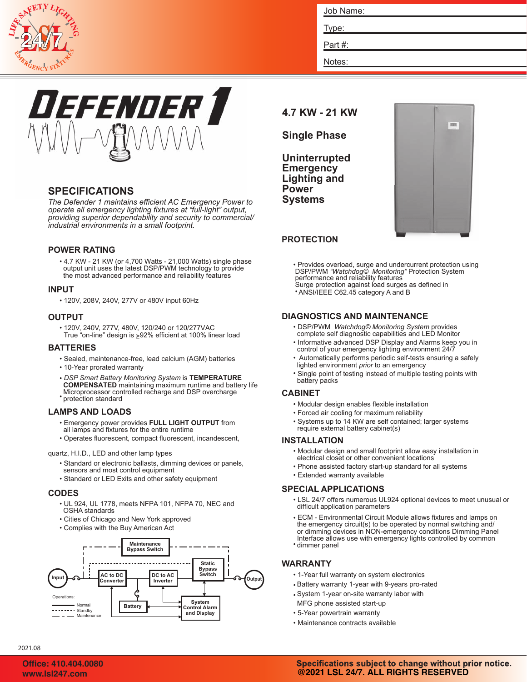

| Job Name: |  |
|-----------|--|
|           |  |
| Type:     |  |
| Part#:    |  |
| Notes:    |  |



# **SPECIFICATIONS**

*The Defender 1 maintains efficient AC Emergency Power to operate all emergency lighting fixtures at "full-light" output, providing superior dependability and security to commercial/ industrial environments in a small footprint.*

### **POWER RATING**

• 4.7 KW - 21 KW (or 4,700 Watts - 21,000 Watts) single phase output unit uses the latest DSP/PWM technology to provide the most advanced performance and reliability features

### **INPUT**

• 120V, 208V, 240V, 277V or 480V input 60Hz

### **OUTPUT**

• 120V, 240V, 277V, 480V, 120/240 or 120/277VAC True "on-line" design is 92% efficient at 100% linear load

### **BATTERIES**

- Sealed, maintenance-free, lead calcium (AGM) batteries
- 10-Year prorated warranty
- *DSP Smart Battery Monitoring System* is **TEMPERATURE** • protection standard **COMPENSATED** maintaining maximum runtime and battery life Microprocessor controlled recharge and DSP overcharge

### **LAMPS AND LOADS**

- Emergency power provides **FULL LIGHT OUTPUT** from all lamps and fixtures for the entire runtime
- 
- Operates fluorescent, compact fluorescent, incandescent,

#### quartz, H.I.D., LED and other lamp types

- Standard or electronic ballasts, dimming devices or panels,
- Standard or LED Exits and other safety equipment sensors and most control equipment

#### **CODES**

- UL 924, UL 1778, meets NFPA 101, NFPA 70, NEC and OSHA standards
- Cities of Chicago and New York approved
- Complies with the Buy American Act



# **4.7 KW - 21 KW**

## **Single Phase**

**Uninterrupted Emergency Lighting and Power Systems**



# **PROTECTION**

• Provides overload, surge and undercurrent protection using DSP/PWM *"Watchdog© Monitoring"* Protection System performance and reliability features Surge protection against load surges as defined in • ANSI/IEEE C62.45 category A and B

#### **DIAGNOSTICS AND MAINTENANCE**

- DSP/PWM *Watchdog© Monitoring System* provides complete self diagnostic capabilities and LED Monitor
- Informative advanced DSP Display and Alarms keep you in control of your emergency lighting environment 24/7
- Automatically performs periodic self-tests ensuring a safely lighted environment *prior* to an emergency
- Single point of testing instead of multiple testing points with battery packs

#### **CABINET**

- Modular design enables flexible installation
- Forced air cooling for maximum reliability
- Systems up to 14 KW are self contained; larger systems require external battery cabinet(s)

#### **INSTALLATION**

- Modular design and small footprint allow easy installation in electrical closet or other convenient locations
- Phone assisted factory start-up standard for all systems
- Extended warranty available

### **SPECIAL APPLICATIONS**

- LSL 24/7 offers numerous UL924 optional devices to meet unusual or difficult application parameters
- ECM Environmental Circuit Module allows fixtures and lamps on the emergency circuit(s) to be operated by normal switching and/ or dimming devices in NON-emergency conditions Dimming Panel Interface allows use with emergency lights controlled by common
- dimmer panel

### **WARRANTY**

- 1-Year full warranty on system electronics
- Battery warranty 1-year with 9-years pro-rated
- System 1-year on-site warranty labor with MFG phone assisted start-up
- 5-Year powertrain warranty
- Maintenance contracts available

2021.08